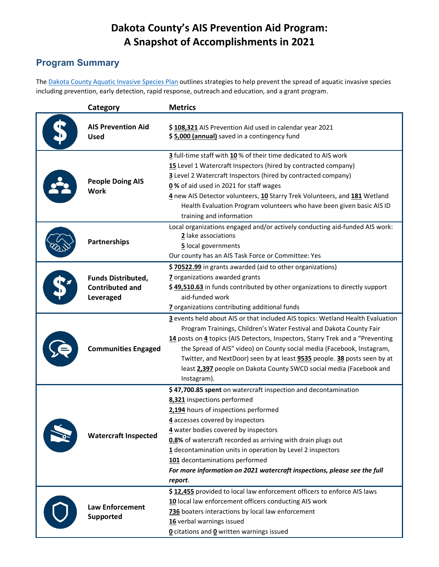# **Dakota County's AIS Prevention Aid Program: A Snapshot of Accomplishments in 2021**

## **Program Summary**

The [Dakota County Aquatic Invasive Species Plan](https://www.co.dakota.mn.us/Environment/WaterResources/AIS/Documents/AquaticInvasiveSpeciesPlan.pdf) outlines strategies to help prevent the spread of aquatic invasive species including prevention, early detection, rapid response, outreach and education, and a grant program.

| Category                                                         | <b>Metrics</b>                                                                                                                                                                                                                                                                                                                                                                                                                                                                      |  |  |
|------------------------------------------------------------------|-------------------------------------------------------------------------------------------------------------------------------------------------------------------------------------------------------------------------------------------------------------------------------------------------------------------------------------------------------------------------------------------------------------------------------------------------------------------------------------|--|--|
| <b>AIS Prevention Aid</b><br><b>Used</b>                         | \$108,321 AIS Prevention Aid used in calendar year 2021<br>\$5,000 (annual) saved in a contingency fund                                                                                                                                                                                                                                                                                                                                                                             |  |  |
| <b>People Doing AIS</b><br><b>Work</b>                           | 3 full-time staff with 10 % of their time dedicated to AIS work<br>15 Level 1 Watercraft Inspectors (hired by contracted company)<br>3 Level 2 Watercraft Inspectors (hired by contracted company)<br>0% of aid used in 2021 for staff wages<br>4 new AIS Detector volunteers, 10 Starry Trek Volunteers, and 181 Wetland<br>Health Evaluation Program volunteers who have been given basic AIS ID<br>training and information                                                      |  |  |
| Partnerships                                                     | Local organizations engaged and/or actively conducting aid-funded AIS work:<br>2 lake associations<br>5 local governments<br>Our county has an AIS Task Force or Committee: Yes                                                                                                                                                                                                                                                                                                     |  |  |
| <b>Funds Distributed,</b><br><b>Contributed and</b><br>Leveraged | \$70522.99 in grants awarded (aid to other organizations)<br>7 organizations awarded grants<br>\$49,510.63 in funds contributed by other organizations to directly support<br>aid-funded work<br>7 organizations contributing additional funds                                                                                                                                                                                                                                      |  |  |
| <b>Communities Engaged</b>                                       | 3 events held about AIS or that included AIS topics: Wetland Health Evaluation<br>Program Trainings, Children's Water Festival and Dakota County Fair<br>14 posts on 4 topics (AIS Detectors, Inspectors, Starry Trek and a "Preventing<br>the Spread of AIS" video) on County social media (Facebook, Instagram,<br>Twitter, and NextDoor) seen by at least 9535 people. 38 posts seen by at<br>least 2,397 people on Dakota County SWCD social media (Facebook and<br>Instagram). |  |  |
| <b>Watercraft Inspected</b>                                      | \$47,700.85 spent on watercraft inspection and decontamination<br>8,321 inspections performed<br>2,194 hours of inspections performed<br>4 accesses covered by inspectors<br>4 water bodies covered by inspectors<br>0.8% of watercraft recorded as arriving with drain plugs out<br>1 decontamination units in operation by Level 2 inspectors<br>101 decontaminations performed<br>For more information on 2021 watercraft inspections, please see the full<br>report.            |  |  |
| <b>Law Enforcement</b><br><b>Supported</b>                       | \$12,455 provided to local law enforcement officers to enforce AIS laws<br>10 local law enforcement officers conducting AIS work<br>736 boaters interactions by local law enforcement<br>16 verbal warnings issued<br><b>0</b> citations and <b>0</b> written warnings issued                                                                                                                                                                                                       |  |  |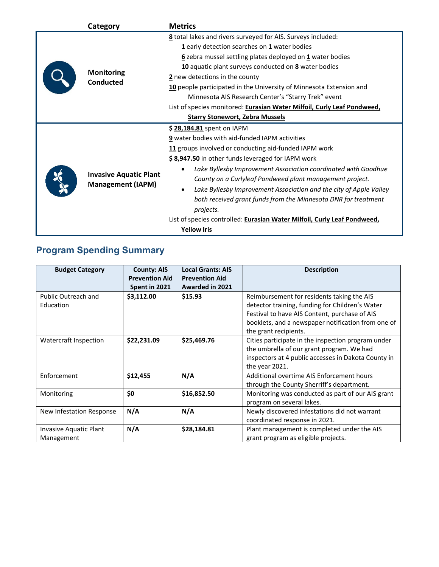| Category                                                  | <b>Metrics</b>                                                                                                                                                                                                                                                                                                                                                                                                                                                                                                                                                                              |  |  |
|-----------------------------------------------------------|---------------------------------------------------------------------------------------------------------------------------------------------------------------------------------------------------------------------------------------------------------------------------------------------------------------------------------------------------------------------------------------------------------------------------------------------------------------------------------------------------------------------------------------------------------------------------------------------|--|--|
| <b>Monitoring</b><br><b>Conducted</b>                     | 8 total lakes and rivers surveyed for AIS. Surveys included:<br>$1$ early detection searches on $1$ water bodies<br>6 zebra mussel settling plates deployed on 1 water bodies<br>10 aquatic plant surveys conducted on 8 water bodies<br>2 new detections in the county<br>10 people participated in the University of Minnesota Extension and<br>Minnesota AIS Research Center's "Starry Trek" event<br>List of species monitored: Eurasian Water Milfoil, Curly Leaf Pondweed,<br><b>Starry Stonewort, Zebra Mussels</b>                                                                  |  |  |
| <b>Invasive Aquatic Plant</b><br><b>Management (IAPM)</b> | \$28,184.81 spent on IAPM<br>9 water bodies with aid-funded IAPM activities<br>11 groups involved or conducting aid-funded IAPM work<br>\$8,947.50 in other funds leveraged for IAPM work<br>Lake Byllesby Improvement Association coordinated with Goodhue<br>County on a Curlyleaf Pondweed plant management project.<br>Lake Byllesby Improvement Association and the city of Apple Valley<br>$\bullet$<br>both received grant funds from the Minnesota DNR for treatment<br>projects.<br>List of species controlled: Eurasian Water Milfoil, Curly Leaf Pondweed,<br><b>Yellow Iris</b> |  |  |

# **Program Spending Summary**

| <b>Budget Category</b>               | <b>County: AIS</b><br><b>Prevention Aid</b><br>Spent in 2021 | <b>Local Grants: AIS</b><br><b>Prevention Aid</b><br><b>Awarded in 2021</b> | <b>Description</b>                                                                                                                                                                                                            |
|--------------------------------------|--------------------------------------------------------------|-----------------------------------------------------------------------------|-------------------------------------------------------------------------------------------------------------------------------------------------------------------------------------------------------------------------------|
| Public Outreach and<br>Education     | \$3,112.00                                                   | \$15.93                                                                     | Reimbursement for residents taking the AIS<br>detector training, funding for Children's Water<br>Festival to have AIS Content, purchase of AIS<br>booklets, and a newspaper notification from one of<br>the grant recipients. |
| <b>Watercraft Inspection</b>         | \$22,231.09                                                  | \$25,469.76                                                                 | Cities participate in the inspection program under<br>the umbrella of our grant program. We had<br>inspectors at 4 public accesses in Dakota County in<br>the year 2021.                                                      |
| Enforcement                          | \$12,455                                                     | N/A                                                                         | Additional overtime AIS Enforcement hours<br>through the County Sherriff's department.                                                                                                                                        |
| Monitoring                           | \$0                                                          | \$16,852.50                                                                 | Monitoring was conducted as part of our AIS grant<br>program on several lakes.                                                                                                                                                |
| New Infestation Response             | N/A                                                          | N/A                                                                         | Newly discovered infestations did not warrant<br>coordinated response in 2021.                                                                                                                                                |
| Invasive Aquatic Plant<br>Management | N/A                                                          | \$28,184.81                                                                 | Plant management is completed under the AIS<br>grant program as eligible projects.                                                                                                                                            |